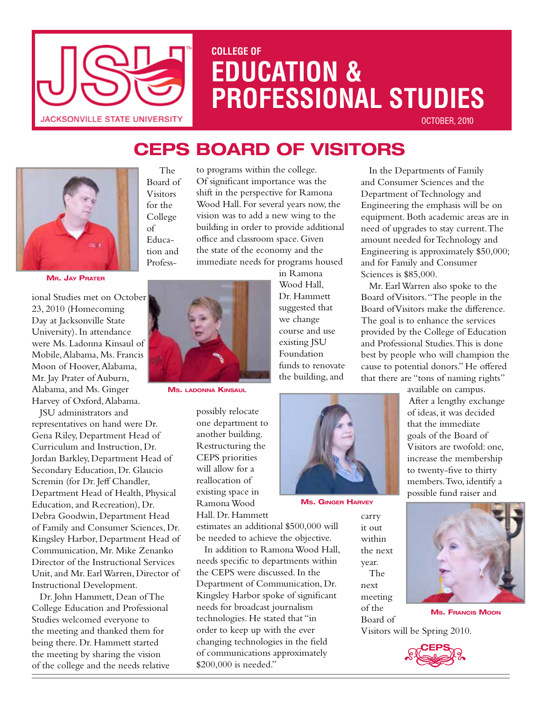

# **COLLEGE OF EDUCATION & PROFESSIONAL STUDIES**

October, 2010

# **CEPS BoarD of Visitors**



**Mr. Jay Prater**

ional Studies met on October 23, 2010 (Homecoming Day at Jacksonville State University). In attendance were Ms. Ladonna Kinsaul of Mobile, Alabama, Ms. Francis Moon of Hoover, Alabama, Mr. Jay Prater of Auburn, Alabama, and Ms. Ginger Harvey of Oxford, Alabama.

JSU administrators and representatives on hand were Dr. Gena Riley, Department Head of Curriculum and Instruction, Dr. Jordan Barkley, Department Head of Secondary Education, Dr. Glaucio Scremin (for Dr. Jeff Chandler, Department Head of Health, Physical Education, and Recreation), Dr. Debra Goodwin, Department Head of Family and Consumer Sciences, Dr. Kingsley Harbor, Department Head of Communication, Mr. Mike Zenanko Director of the Instructional Services Unit, and Mr. Earl Warren, Director of Instructional Development.

Dr. John Hammett, Dean of The College Education and Professional Studies welcomed everyone to the meeting and thanked them for being there. Dr. Hammett started the meeting by sharing the vision of the college and the needs relative

 The Board of Visitors for the College of Education and Profess-

to programs within the college. Of significant importance was the shift in the perspective for Ramona Wood Hall. For several years now, the vision was to add a new wing to the building in order to provide additional office and classroom space. Given the state of the economy and the immediate needs for programs housed

in Ramona Wood Hall, Dr. Hammett suggested that we change course and use existing JSU Foundation funds to renovate the building, and



**Ms. Ginger Harvey**

carry it out within the next year. The next

meeting of the Board of

In the Departments of Family and Consumer Sciences and the Department of Technology and Engineering the emphasis will be on equipment. Both academic areas are in need of upgrades to stay current. The amount needed for Technology and Engineering is approximately \$50,000; and for Family and Consumer Sciences is \$85,000.

Mr. Earl Warren also spoke to the Board of Visitors. "The people in the Board of Visitors make the difference. The goal is to enhance the services provided by the College of Education and Professional Studies. This is done best by people who will champion the cause to potential donors." He offered that there are "tons of naming rights"

> available on campus. After a lengthy exchange of ideas, it was decided that the immediate goals of the Board of Visitors are twofold: one, increase the membership to twenty-five to thirty members. Two, identify a possible fund raiser and



**Ms. Francis Moon**

Visitors will be Spring 2010.





**Ms. ladonna Kinsaul**

possibly relocate one department to another building. Restructuring the CEPS priorities will allow for a reallocation of existing space in Ramona Wood Hall. Dr. Hammett

estimates an additional \$500,000 will be needed to achieve the objective.

In addition to Ramona Wood Hall, needs specific to departments within the CEPS were discussed. In the Department of Communication, Dr. Kingsley Harbor spoke of significant needs for broadcast journalism technologies. He stated that "in order to keep up with the ever changing technologies in the field of communications approximately \$200,000 is needed."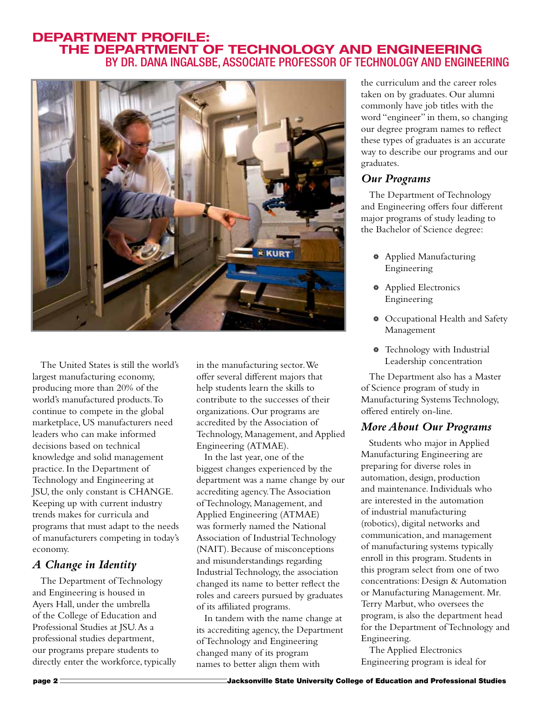#### **Department Profile: The Department of Technology and Engineering** By Dr. Dana Ingalsbe, Associate Professor of Technology and Engineering



The United States is still the world's largest manufacturing economy, producing more than 20% of the world's manufactured products. To continue to compete in the global marketplace, US manufacturers need leaders who can make informed decisions based on technical knowledge and solid management practice. In the Department of Technology and Engineering at JSU, the only constant is CHANGE. Keeping up with current industry trends makes for curricula and programs that must adapt to the needs of manufacturers competing in today's economy.

#### *A Change in Identity*

The Department of Technology and Engineering is housed in Ayers Hall, under the umbrella of the College of Education and Professional Studies at JSU. As a professional studies department, our programs prepare students to directly enter the workforce, typically in the manufacturing sector. We offer several different majors that help students learn the skills to contribute to the successes of their organizations. Our programs are accredited by the Association of Technology, Management, and Applied Engineering (ATMAE).

In the last year, one of the biggest changes experienced by the department was a name change by our accrediting agency. The Association of Technology, Management, and Applied Engineering (ATMAE) was formerly named the National Association of Industrial Technology (NAIT). Because of misconceptions and misunderstandings regarding Industrial Technology, the association changed its name to better reflect the roles and careers pursued by graduates of its affiliated programs.

In tandem with the name change at its accrediting agency, the Department of Technology and Engineering changed many of its program names to better align them with

the curriculum and the career roles taken on by graduates. Our alumni commonly have job titles with the word "engineer" in them, so changing our degree program names to reflect these types of graduates is an accurate way to describe our programs and our graduates.

#### *Our Programs*

The Department of Technology and Engineering offers four different major programs of study leading to the Bachelor of Science degree:

- ' Applied Manufacturing Engineering
- ' Applied Electronics Engineering
- ' Occupational Health and Safety Management
- <sup>\*</sup> Technology with Industrial Leadership concentration

The Department also has a Master of Science program of study in Manufacturing Systems Technology, offered entirely on-line.

#### *More About Our Programs*

Students who major in Applied Manufacturing Engineering are preparing for diverse roles in automation, design, production and maintenance. Individuals who are interested in the automation of industrial manufacturing (robotics), digital networks and communication, and management of manufacturing systems typically enroll in this program. Students in this program select from one of two concentrations: Design & Automation or Manufacturing Management. Mr. Terry Marbut, who oversees the program, is also the department head for the Department of Technology and Engineering.

The Applied Electronics Engineering program is ideal for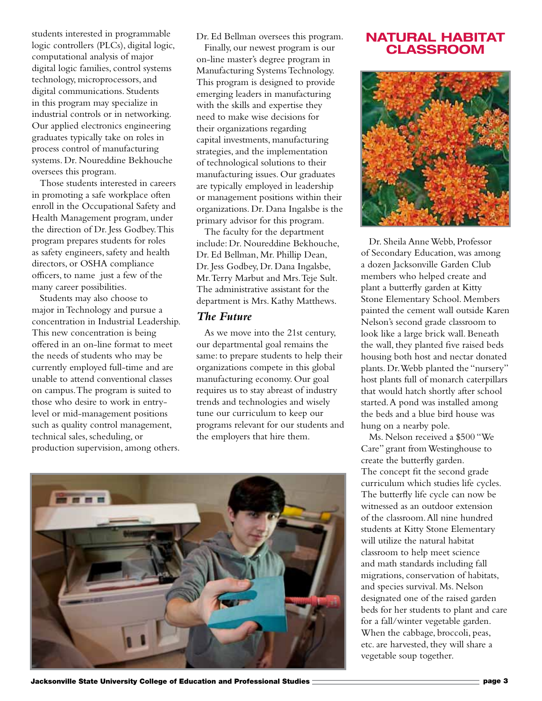students interested in programmable logic controllers (PLCs), digital logic, computational analysis of major digital logic families, control systems technology, microprocessors, and digital communications. Students in this program may specialize in industrial controls or in networking. Our applied electronics engineering graduates typically take on roles in process control of manufacturing systems. Dr. Noureddine Bekhouche oversees this program.

Those students interested in careers in promoting a safe workplace often enroll in the Occupational Safety and Health Management program, under the direction of Dr. Jess Godbey. This program prepares students for roles as safety engineers, safety and health directors, or OSHA compliance officers, to name just a few of the many career possibilities.

Students may also choose to major in Technology and pursue a concentration in Industrial Leadership. This new concentration is being offered in an on-line format to meet the needs of students who may be currently employed full-time and are unable to attend conventional classes on campus. The program is suited to those who desire to work in entrylevel or mid-management positions such as quality control management, technical sales, scheduling, or production supervision, among others.

Dr. Ed Bellman oversees this program.

Finally, our newest program is our on-line master's degree program in Manufacturing Systems Technology. This program is designed to provide emerging leaders in manufacturing with the skills and expertise they need to make wise decisions for their organizations regarding capital investments, manufacturing strategies, and the implementation of technological solutions to their manufacturing issues. Our graduates are typically employed in leadership or management positions within their organizations. Dr. Dana Ingalsbe is the primary advisor for this program.

The faculty for the department include: Dr. Noureddine Bekhouche, Dr. Ed Bellman, Mr. Phillip Dean, Dr. Jess Godbey, Dr. Dana Ingalsbe, Mr. Terry Marbut and Mrs. Teje Sult. The administrative assistant for the department is Mrs. Kathy Matthews.

#### *The Future*

As we move into the 21st century, our departmental goal remains the same: to prepare students to help their organizations compete in this global manufacturing economy. Our goal requires us to stay abreast of industry trends and technologies and wisely tune our curriculum to keep our programs relevant for our students and the employers that hire them.



#### **NATURAL HABITAT CLASSROOM**



Dr. Sheila Anne Webb, Professor of Secondary Education, was among a dozen Jacksonville Garden Club members who helped create and plant a butterfly garden at Kitty Stone Elementary School. Members painted the cement wall outside Karen Nelson's second grade classroom to look like a large brick wall. Beneath the wall, they planted five raised beds housing both host and nectar donated plants. Dr. Webb planted the "nursery" host plants full of monarch caterpillars that would hatch shortly after school started. A pond was installed among the beds and a blue bird house was hung on a nearby pole.

Ms. Nelson received a \$500 "We Care" grant from Westinghouse to create the butterfly garden. The concept fit the second grade curriculum which studies life cycles. The butterfly life cycle can now be witnessed as an outdoor extension of the classroom. All nine hundred students at Kitty Stone Elementary will utilize the natural habitat classroom to help meet science and math standards including fall migrations, conservation of habitats, and species survival. Ms. Nelson designated one of the raised garden beds for her students to plant and care for a fall/winter vegetable garden. When the cabbage, broccoli, peas, etc. are harvested, they will share a vegetable soup together.

Jacksonville State University College of Education and Professional Studies **From Acceptance Concentration** page 3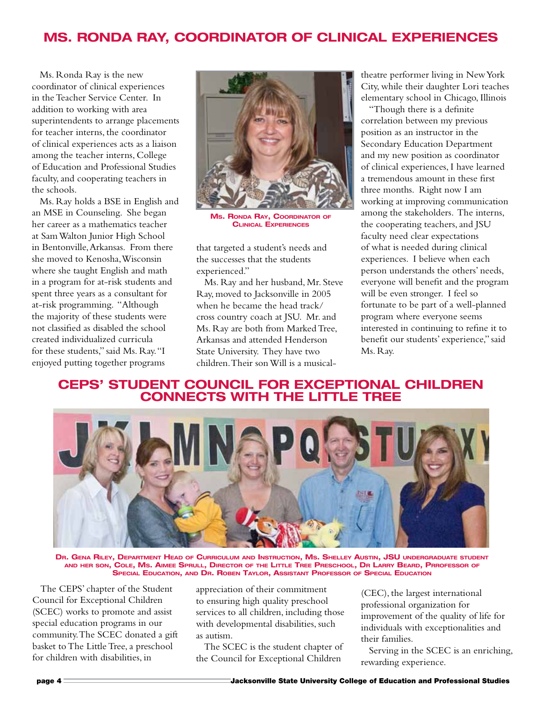# **Ms. Ronda Ray, Coordinator of Clinical Experiences**

Ms. Ronda Ray is the new coordinator of clinical experiences in the Teacher Service Center. In addition to working with area superintendents to arrange placements for teacher interns, the coordinator of clinical experiences acts as a liaison among the teacher interns, College of Education and Professional Studies faculty, and cooperating teachers in the schools.

Ms. Ray holds a BSE in English and an MSE in Counseling. She began her career as a mathematics teacher at Sam Walton Junior High School in Bentonville, Arkansas. From there she moved to Kenosha, Wisconsin where she taught English and math in a program for at-risk students and spent three years as a consultant for at-risk programming. "Although the majority of these students were not classified as disabled the school created individualized curricula for these students," said Ms. Ray. "I enjoyed putting together programs



**Ms. Ronda Ray, Coordinator of Clinical Experiences**

that targeted a student's needs and the successes that the students experienced."

Ms. Ray and her husband, Mr. Steve Ray, moved to Jacksonville in 2005 when he became the head track/ cross country coach at JSU. Mr. and Ms. Ray are both from Marked Tree, Arkansas and attended Henderson State University. They have two children. Their son Will is a musicaltheatre performer living in New York City, while their daughter Lori teaches elementary school in Chicago, Illinois

"Though there is a definite correlation between my previous position as an instructor in the Secondary Education Department and my new position as coordinator of clinical experiences, I have learned a tremendous amount in these first three months. Right now I am working at improving communication among the stakeholders. The interns, the cooperating teachers, and JSU faculty need clear expectations of what is needed during clinical experiences. I believe when each person understands the others' needs, everyone will benefit and the program will be even stronger. I feel so fortunate to be part of a well-planned program where everyone seems interested in continuing to refine it to benefit our students' experience," said Ms. Ray.

#### **CEPS' Student Council for Exceptional Children Connects with The Little Tree**



**Dr. Gena Riley, Department Head of Curriculum and Instruction, Ms. Shelley Austin, JSU undergraduate student and her son, Cole, Ms. Aimee Sprull, Director of the Little Tree Preschool, Dr Larry Beard, Prrofessor of Special Education, and Dr. Roben Taylor, Assistant Professor of Special Education**

The CEPS' chapter of the Student Council for Exceptional Children (SCEC) works to promote and assist special education programs in our community. The SCEC donated a gift basket to The Little Tree, a preschool for children with disabilities, in

appreciation of their commitment to ensuring high quality preschool services to all children, including those with developmental disabilities, such as autism.

The SCEC is the student chapter of the Council for Exceptional Children

(CEC), the largest international professional organization for improvement of the quality of life for individuals with exceptionalities and their families.

Serving in the SCEC is an enriching, rewarding experience.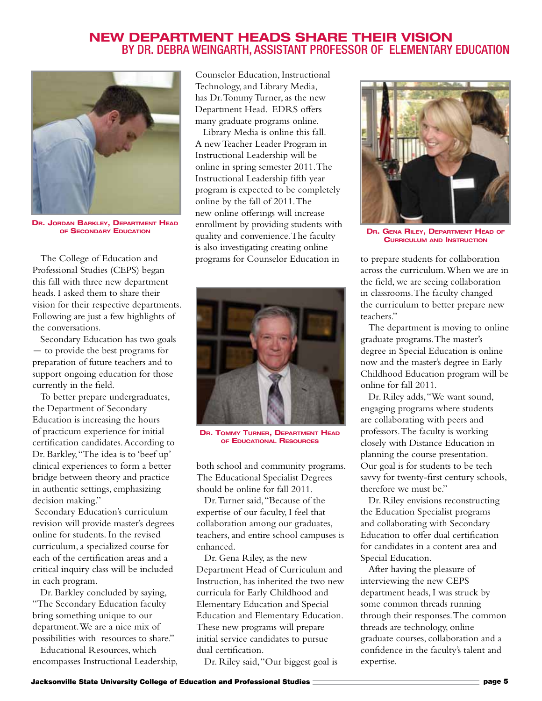#### **New Department Heads share their Vision** By Dr. Debra Weingarth, Assistant Professor of elementary Education



**Dr. Jordan Barkley, Department Head of Secondary Education**

The College of Education and Professional Studies (CEPS) began this fall with three new department heads. I asked them to share their vision for their respective departments. Following are just a few highlights of the conversations.

Secondary Education has two goals - to provide the best programs for preparation of future teachers and to support ongoing education for those currently in the field.

To better prepare undergraduates, the Department of Secondary Education is increasing the hours of practicum experience for initial certification candidates. According to Dr. Barkley, "The idea is to 'beef up' clinical experiences to form a better bridge between theory and practice in authentic settings, emphasizing decision making."

 Secondary Education's curriculum revision will provide master's degrees online for students. In the revised curriculum, a specialized course for each of the certification areas and a critical inquiry class will be included in each program.

Dr. Barkley concluded by saying, "The Secondary Education faculty bring something unique to our department. We are a nice mix of possibilities with resources to share."

Educational Resources, which encompasses Instructional Leadership, Counselor Education, Instructional Technology, and Library Media, has Dr. Tommy Turner, as the new Department Head. EDRS offers many graduate programs online.

Library Media is online this fall. A new Teacher Leader Program in Instructional Leadership will be online in spring semester 2011. The Instructional Leadership fifth year program is expected to be completely online by the fall of 2011. The new online offerings will increase enrollment by providing students with quality and convenience. The faculty is also investigating creating online programs for Counselor Education in to prepare students for collaboration



**Dr. Tommy Turner, Department Head of Educational Resources**

both school and community programs. The Educational Specialist Degrees should be online for fall 2011.

Dr. Turner said, "Because of the expertise of our faculty, I feel that collaboration among our graduates, teachers, and entire school campuses is enhanced.

Dr. Gena Riley, as the new Department Head of Curriculum and Instruction, has inherited the two new curricula for Early Childhood and Elementary Education and Special Education and Elementary Education. These new programs will prepare initial service candidates to pursue dual certification.

Dr. Riley said, "Our biggest goal is



**Dr. Gena Riley, Department Head of Curriculum and Instruction**

across the curriculum. When we are in the field, we are seeing collaboration in classrooms. The faculty changed the curriculum to better prepare new teachers."

The department is moving to online graduate programs. The master's degree in Special Education is online now and the master's degree in Early Childhood Education program will be online for fall 2011.

Dr. Riley adds, "We want sound, engaging programs where students are collaborating with peers and professors. The faculty is working closely with Distance Education in planning the course presentation. Our goal is for students to be tech savvy for twenty-first century schools, therefore we must be."

Dr. Riley envisions reconstructing the Education Specialist programs and collaborating with Secondary Education to offer dual certification for candidates in a content area and Special Education.

After having the pleasure of interviewing the new CEPS department heads, I was struck by some common threads running through their responses. The common threads are technology, online graduate courses, collaboration and a confidence in the faculty's talent and expertise.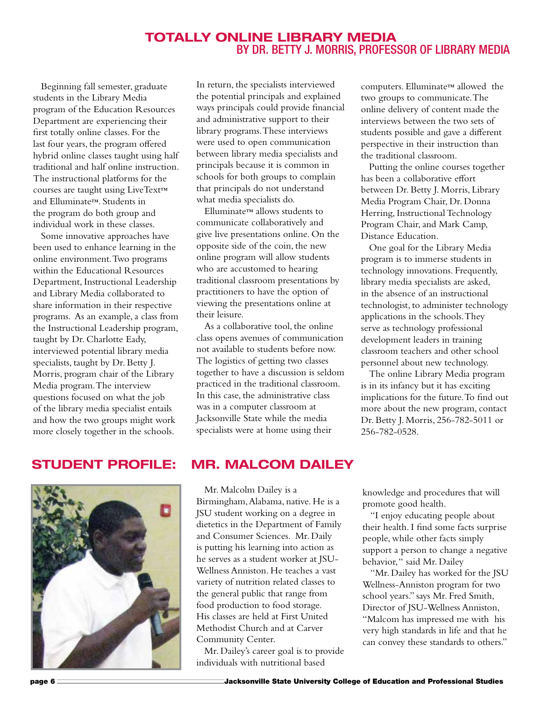#### **Totally online Library Media** BY DR. BETTY J. MORRIS, PROFESSOR OF LIBRARY MEDIA

Beginning fall semester, graduate students in the Library Media program of the Education Resources Department are experiencing their first totally online classes. For the last four years, the program offered hybrid online classes taught using half traditional and half online instruction. The instructional platforms for the courses are taught using LiveText™ and Elluminate™. Students in the program do both group and individual work in these classes.

Some innovative approaches have been used to enhance learning in the online environment. Two programs within the Educational Resources Department, Instructional Leadership and Library Media collaborated to share information in their respective programs. As an example, a class from the Instructional Leadership program, taught by Dr. Charlotte Eady, interviewed potential library media specialists, taught by Dr. Betty J. Morris, program chair of the Library Media program. The interview questions focused on what the job of the library media specialist entails and how the two groups might work more closely together in the schools.

In return, the specialists interviewed the potential principals and explained ways principals could provide financial and administrative support to their library programs. These interviews were used to open communication between library media specialists and principals because it is common in schools for both groups to complain that principals do not understand what media specialists do.

Elluminate™ allows students to communicate collaboratively and give live presentations online. On the opposite side of the coin, the new online program will allow students who are accustomed to hearing traditional classroom presentations by practitioners to have the option of viewing the presentations online at their leisure.

As a collaborative tool, the online class opens avenues of communication not available to students before now. The logistics of getting two classes together to have a discussion is seldom practiced in the traditional classroom. In this case, the administrative class was in a computer classroom at Jacksonville State while the media specialists were at home using their

computers. Elluminate™ allowed the two groups to communicate. The online delivery of content made the interviews between the two sets of students possible and gave a different perspective in their instruction than the traditional classroom.

Putting the online courses together has been a collaborative effort between Dr. Betty J. Morris, Library Media Program Chair, Dr. Donna Herring, Instructional Technology Program Chair, and Mark Camp, Distance Education.

One goal for the Library Media program is to immerse students in technology innovations. Frequently, library media specialists are asked, in the absence of an instructional technologist, to administer technology applications in the schools. They serve as technology professional development leaders in training classroom teachers and other school personnel about new technology.

The online Library Media program is in its infancy but it has exciting implications for the future. To find out more about the new program, contact Dr. Betty J. Morris, 256-782-5011 or 256-782-0528.



#### **Student Profile: Mr. Malcom Dailey**

Mr. Malcolm Dailey is a Birmingham, Alabama, native. He is a JSU student working on a degree in dietetics in the Department of Family and Consumer Sciences. Mr. Daily is putting his learning into action as he serves as a student worker at JSU-Wellness Anniston. He teaches a vast variety of nutrition related classes to the general public that range from food production to food storage. His classes are held at First United Methodist Church and at Carver Community Center.

Mr. Dailey's career goal is to provide individuals with nutritional based

knowledge and procedures that will promote good health.

"I enjoy educating people about their health. I find some facts surprise people, while other facts simply support a person to change a negative behavior, " said Mr. Dailey

"Mr. Dailey has worked for the JSU Wellness-Anniston program for two school years." says Mr. Fred Smith, Director of JSU-Wellness Anniston, "Malcom has impressed me with his very high standards in life and that he can convey these standards to others."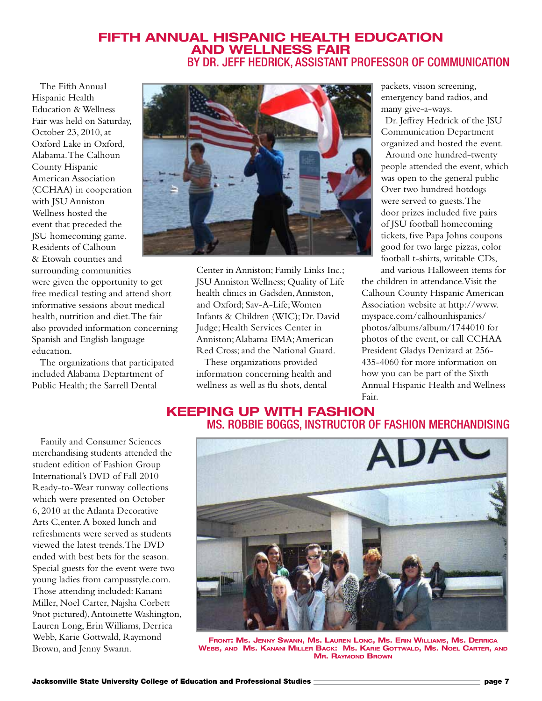#### **Fifth Annual Hispanic Health Education and Wellness Fair** By Dr. Jeff Hedrick, Assistant Professor of Communication

The Fifth Annual Hispanic Health Education & Wellness Fair was held on Saturday, October 23, 2010, at Oxford Lake in Oxford, Alabama. The Calhoun County Hispanic American Association (CCHAA) in cooperation with ISU Anniston Wellness hosted the event that preceded the JSU homecoming game. Residents of Calhoun & Etowah counties and surrounding communities

were given the opportunity to get free medical testing and attend short informative sessions about medical health, nutrition and diet. The fair also provided information concerning Spanish and English language education.

The organizations that participated included Alabama Deptartment of Public Health; the Sarrell Dental



Center in Anniston; Family Links Inc.; JSU Anniston Wellness; Quality of Life health clinics in Gadsden, Anniston, and Oxford; Sav-A-Life; Women Infants & Children (WIC); Dr. David Judge; Health Services Center in Anniston; Alabama EMA; American Red Cross; and the National Guard.

These organizations provided information concerning health and wellness as well as flu shots, dental

packets, vision screening, emergency band radios, and many give-a-ways.

Dr. Jeffrey Hedrick of the JSU Communication Department organized and hosted the event.

Around one hundred-twenty people attended the event, which was open to the general public Over two hundred hotdogs were served to guests. The door prizes included five pairs of JSU football homecoming tickets, five Papa Johns coupons good for two large pizzas, color football t-shirts, writable CDs, and various Halloween items for

the children in attendance. Visit the Calhoun County Hispanic American Association website at http://www. myspace.com/calhounhispanics/ photos/albums/album/1744010 for photos of the event, or call CCHAA President Gladys Denizard at 256- 435-4060 for more information on how you can be part of the Sixth Annual Hispanic Health and Wellness Fair.

#### **Keeping Up with Fashion** Ms. Robbie Boggs, Instructor of Fashion Merchandising

Family and Consumer Sciences merchandising students attended the student edition of Fashion Group International's DVD of Fall 2010 Ready-to-Wear runway collections which were presented on October 6, 2010 at the Atlanta Decorative Arts C,enter. A boxed lunch and refreshments were served as students viewed the latest trends. The DVD ended with best bets for the season. Special guests for the event were two young ladies from campusstyle.com. Those attending included: Kanani Miller, Noel Carter, Najsha Corbett 9not pictured), Antoinette Washington, Lauren Long, Erin Williams, Derrica Webb, Karie Gottwald, Raymond Brown, and Jenny Swann.



**Front: Ms. Jenny Swann, Ms. Lauren Long, Ms. Erin Williams, Ms. Derrica Webb, and Ms. Kanani Miller Back: Ms. Karie Gottwald, Ms. Noel Carter, and MR. RAYMOND BROWN**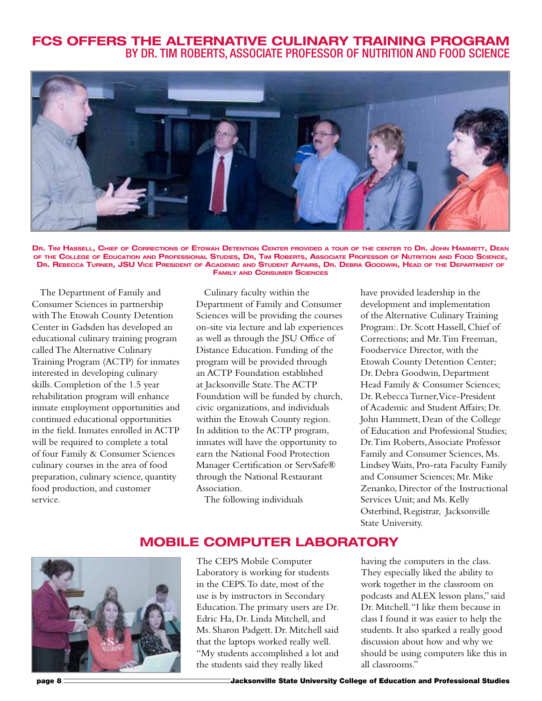#### **FCS Offers The Alternative Culinary Training Program** By Dr. Tim Roberts, Associate Professor of Nutrition and Food Science



DR. TIM HASSELL, CHIEF OF CORRECTIONS OF ETOWAH DETENTION CENTER PROVIDED A TOUR OF THE CENTER TO DR. JOHN HAMMETT, DEAN **of the College of Education and Professional Studies, Dr, Tim Roberts, Associate Professor of Nutrition and Food Science, Dr. Rebecca Turner, JSU Vice President of Academic and Student Affairs, Dr. Debra Goodwin, Head of the Department of Family and Consumer Sciences**

The Department of Family and Consumer Sciences in partnership with The Etowah County Detention Center in Gadsden has developed an educational culinary training program called The Alternative Culinary Training Program (ACTP) for inmates interested in developing culinary skills. Completion of the 1.5 year rehabilitation program will enhance inmate employment opportunities and continued educational opportunities in the field. Inmates enrolled in ACTP will be required to complete a total of four Family & Consumer Sciences culinary courses in the area of food preparation, culinary science, quantity food production, and customer service.

Culinary faculty within the Department of Family and Consumer Sciences will be providing the courses on-site via lecture and lab experiences as well as through the JSU Office of Distance Education. Funding of the program will be provided through an ACTP Foundation established at Jacksonville State. The ACTP Foundation will be funded by church, civic organizations, and individuals within the Etowah County region. In addition to the ACTP program, inmates will have the opportunity to earn the National Food Protection Manager Certification or ServSafe® through the National Restaurant Association.

The following individuals

have provided leadership in the development and implementation of the Alternative Culinary Training Program:. Dr. Scott Hassell, Chief of Corrections; and Mr. Tim Freeman, Foodservice Director, with the Etowah County Detention Center; Dr. Debra Goodwin, Department Head Family & Consumer Sciences; Dr. Rebecca Turner, Vice-President of Academic and Student Affairs; Dr. John Hammett, Dean of the College of Education and Professional Studies; Dr. Tim Roberts, Associate Professor Family and Consumer Sciences, Ms. Lindsey Waits, Pro-rata Faculty Family and Consumer Sciences; Mr. Mike Zenanko, Director of the Instructional Services Unit; and Ms. Kelly Osterbind, Registrar, Jacksonville State University.

#### **Mobile Computer Laboratory**



The CEPS Mobile Computer Laboratory is working for students in the CEPS. To date, most of the use is by instructors in Secondary Education. The primary users are Dr. Edric Ha, Dr. Linda Mitchell, and Ms. Sharon Padgett. Dr. Mitchell said that the laptops worked really well. "My students accomplished a lot and the students said they really liked

having the computers in the class. They especially liked the ability to work together in the classroom on podcasts and ALEX lesson plans," said Dr. Mitchell. "I like them because in class I found it was easier to help the students. It also sparked a really good discussion about how and why we should be using computers like this in all classrooms."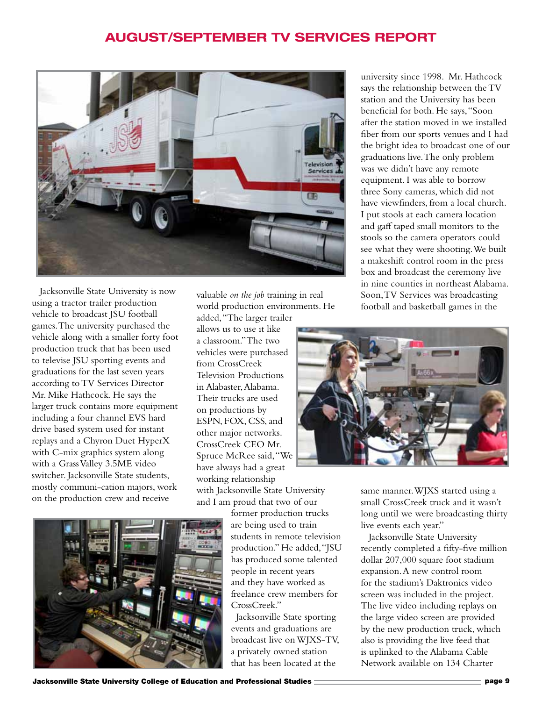## **August/September TV Services Report**



Jacksonville State University is now using a tractor trailer production vehicle to broadcast JSU football games. The university purchased the vehicle along with a smaller forty foot production truck that has been used to televise JSU sporting events and graduations for the last seven years according to TV Services Director Mr. Mike Hathcock. He says the larger truck contains more equipment including a four channel EVS hard drive based system used for instant replays and a Chyron Duet HyperX with C-mix graphics system along with a Grass Valley 3.5ME video switcher. Jacksonville State students, mostly communi-cation majors, work on the production crew and receive

valuable *on the job* training in real world production environments. He added, "The larger trailer

allows us to use it like a classroom." The two vehicles were purchased from CrossCreek Television Productions in Alabaster, Alabama. Their trucks are used on productions by ESPN, FOX, CSS, and other major networks. CrossCreek CEO Mr. Spruce McRee said, "We have always had a great working relationship with Jacksonville State University and I am proud that two of our



former production trucks are being used to train students in remote television production." He added, "JSU has produced some talented people in recent years and they have worked as freelance crew members for CrossCreek."

Jacksonville State sporting events and graduations are broadcast live on WJXS-TV, a privately owned station that has been located at the

university since 1998. Mr. Hathcock says the relationship between the TV station and the University has been beneficial for both. He says, "Soon after the station moved in we installed fiber from our sports venues and I had the bright idea to broadcast one of our graduations live. The only problem was we didn't have any remote equipment. I was able to borrow three Sony cameras, which did not have viewfinders, from a local church. I put stools at each camera location and gaff taped small monitors to the stools so the camera operators could see what they were shooting. We built a makeshift control room in the press box and broadcast the ceremony live in nine counties in northeast Alabama. Soon, TV Services was broadcasting football and basketball games in the



same manner. WJXS started using a small CrossCreek truck and it wasn't long until we were broadcasting thirty live events each year."

Jacksonville State University recently completed a fifty-five million dollar 207,000 square foot stadium expansion. A new control room for the stadium's Daktronics video screen was included in the project. The live video including replays on the large video screen are provided by the new production truck, which also is providing the live feed that is uplinked to the Alabama Cable Network available on 134 Charter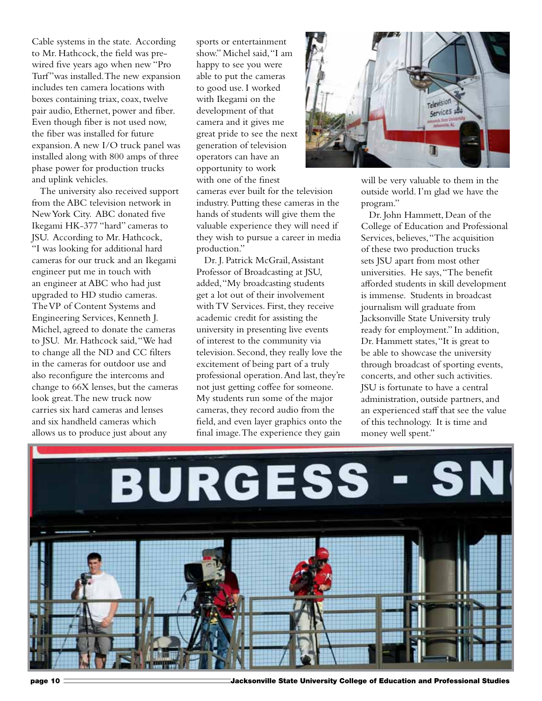Cable systems in the state. According to Mr. Hathcock, the field was prewired five years ago when new "Pro Turf"was installed. The new expansion includes ten camera locations with boxes containing triax, coax, twelve pair audio, Ethernet, power and fiber. Even though fiber is not used now, the fiber was installed for future expansion. A new I/O truck panel was installed along with 800 amps of three phase power for production trucks and uplink vehicles.

The university also received support from the ABC television network in New York City. ABC donated five Ikegami HK-377 "hard" cameras to JSU. According to Mr. Hathcock, "I was looking for additional hard cameras for our truck and an Ikegami engineer put me in touch with an engineer at ABC who had just upgraded to HD studio cameras. The VP of Content Systems and Engineering Services, Kenneth J. Michel, agreed to donate the cameras to JSU. Mr. Hathcock said, "We had to change all the ND and CC filters in the cameras for outdoor use and also reconfigure the intercoms and change to 66X lenses, but the cameras look great. The new truck now carries six hard cameras and lenses and six handheld cameras which allows us to produce just about any

sports or entertainment show." Michel said, "I am happy to see you were able to put the cameras to good use. I worked with Ikegami on the development of that camera and it gives me great pride to see the next generation of television operators can have an opportunity to work with one of the finest

cameras ever built for the television industry. Putting these cameras in the hands of students will give them the valuable experience they will need if they wish to pursue a career in media production."

Dr. J. Patrick McGrail, Assistant Professor of Broadcasting at JSU, added, "My broadcasting students get a lot out of their involvement with TV Services. First, they receive academic credit for assisting the university in presenting live events of interest to the community via television. Second, they really love the excitement of being part of a truly professional operation. And last, they're not just getting coffee for someone. My students run some of the major cameras, they record audio from the field, and even layer graphics onto the final image. The experience they gain



will be very valuable to them in the outside world. I'm glad we have the program."

Dr. John Hammett, Dean of the College of Education and Professional Services, believes, "The acquisition of these two production trucks sets JSU apart from most other universities. He says, "The benefit afforded students in skill development is immense. Students in broadcast journalism will graduate from Jacksonville State University truly ready for employment." In addition, Dr. Hammett states, "It is great to be able to showcase the university through broadcast of sporting events, concerts, and other such activities. JSU is fortunate to have a central administration, outside partners, and an experienced staff that see the value of this technology. It is time and money well spent."



page 10 **Jacksonville State University College of Education and Professional Studies**<br> **State University College of Education and Professional Studies**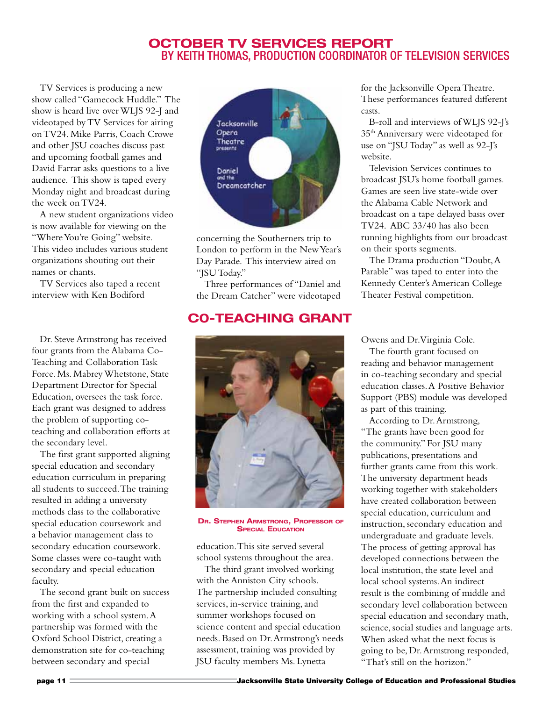#### **October TV Services Report** by Keith Thomas, Production coordinator of Television Services

TV Services is producing a new show called "Gamecock Huddle." The show is heard live over WLJS 92-J and videotaped by TV Services for airing on TV24. Mike Parris, Coach Crowe and other JSU coaches discuss past and upcoming football games and David Farrar asks questions to a live audience. This show is taped every Monday night and broadcast during the week on TV24.

A new student organizations video is now available for viewing on the "Where You're Going" website. This video includes various student organizations shouting out their names or chants.

TV Services also taped a recent interview with Ken Bodiford

Dr. Steve Armstrong has received four grants from the Alabama Co-Teaching and Collaboration Task Force. Ms. Mabrey Whetstone, State Department Director for Special Education, oversees the task force. Each grant was designed to address the problem of supporting coteaching and collaboration efforts at the secondary level.

The first grant supported aligning special education and secondary education curriculum in preparing all students to succeed. The training resulted in adding a university methods class to the collaborative special education coursework and a behavior management class to secondary education coursework. Some classes were co-taught with secondary and special education faculty.

The second grant built on success from the first and expanded to working with a school system. A partnership was formed with the Oxford School District, creating a demonstration site for co-teaching between secondary and special



concerning the Southerners trip to London to perform in the New Year's Day Parade. This interview aired on "JSU Today."

Three performances of "Daniel and the Dream Catcher" were videotaped

## **C0-Teaching Grant**



**Dr. Stephen Armstrong, Professor of SPECIAL EDUCATION** 

education. This site served several school systems throughout the area.

The third grant involved working with the Anniston City schools. The partnership included consulting services, in-service training, and summer workshops focused on science content and special education needs. Based on Dr. Armstrong's needs assessment, training was provided by JSU faculty members Ms. Lynetta

for the Jacksonville Opera Theatre. These performances featured different casts.

B-roll and interviews of WLJS 92-J's 35th Anniversary were videotaped for use on "JSU Today" as well as 92-J's website.

Television Services continues to broadcast JSU's home football games. Games are seen live state-wide over the Alabama Cable Network and broadcast on a tape delayed basis over TV24. ABC 33/40 has also been running highlights from our broadcast on their sports segments.

The Drama production "Doubt, A Parable" was taped to enter into the Kennedy Center's American College Theater Festival competition.

Owens and Dr. Virginia Cole.

The fourth grant focused on reading and behavior management in co-teaching secondary and special education classes. A Positive Behavior Support (PBS) module was developed as part of this training.

According to Dr. Armstrong, "The grants have been good for the community." For JSU many publications, presentations and further grants came from this work. The university department heads working together with stakeholders have created collaboration between special education, curriculum and instruction, secondary education and undergraduate and graduate levels. The process of getting approval has developed connections between the local institution, the state level and local school systems. An indirect result is the combining of middle and secondary level collaboration between special education and secondary math, science, social studies and language arts. When asked what the next focus is going to be, Dr. Armstrong responded, "That's still on the horizon."